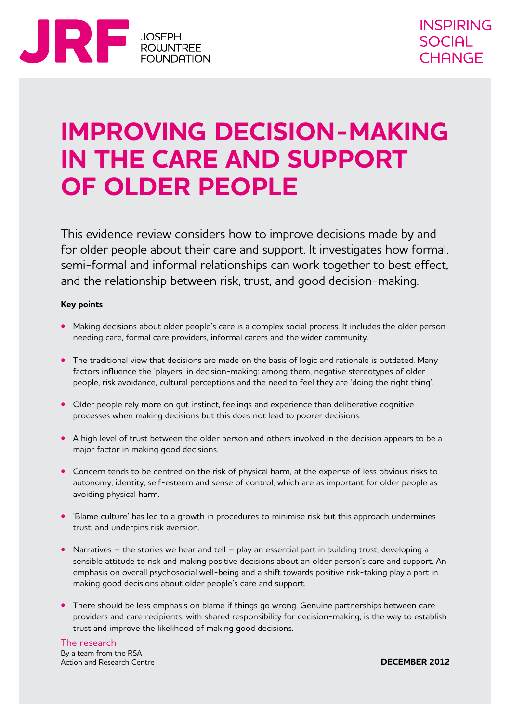

## **Improving decision-making in the care and support of older people**

This evidence review considers how to improve decisions made by and for older people about their care and support. It investigates how formal, semi-formal and informal relationships can work together to best effect, and the relationship between risk, trust, and good decision-making.

#### **Key points**

- Making decisions about older people's care is a complex social process. It includes the older person needing care, formal care providers, informal carers and the wider community.
- **•** The traditional view that decisions are made on the basis of logic and rationale is outdated. Many factors influence the 'players' in decision-making: among them, negative stereotypes of older people, risk avoidance, cultural perceptions and the need to feel they are 'doing the right thing'.
- Older people rely more on qut instinct, feelings and experience than deliberative cognitive processes when making decisions but this does not lead to poorer decisions.
- **•**  A high level of trust between the older person and others involved in the decision appears to be a major factor in making good decisions.
- Concern tends to be centred on the risk of physical harm, at the expense of less obvious risks to autonomy, identity, self-esteem and sense of control, which are as important for older people as avoiding physical harm.
- **•** 'Blame culture' has led to a growth in procedures to minimise risk but this approach undermines trust, and underpins risk aversion.
- Narratives the stories we hear and tell play an essential part in building trust, developing a sensible attitude to risk and making positive decisions about an older person's care and support. An emphasis on overall psychosocial well-being and a shift towards positive risk-taking play a part in making good decisions about older people's care and support.
- There should be less emphasis on blame if things go wrong. Genuine partnerships between care providers and care recipients, with shared responsibility for decision-making, is the way to establish trust and improve the likelihood of making good decisions.

The research By a team from the RSA Action and Research Centre

**DECEMBER 2012**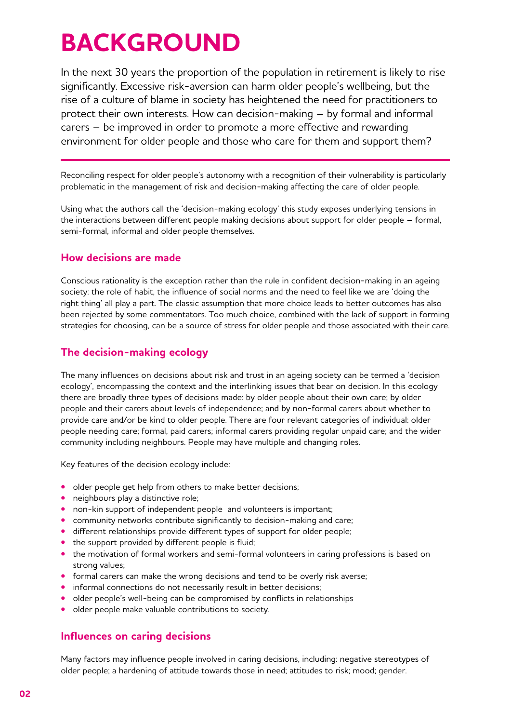# **BACKGROUND**

In the next 30 years the proportion of the population in retirement is likely to rise significantly. Excessive risk-aversion can harm older people's wellbeing, but the rise of a culture of blame in society has heightened the need for practitioners to protect their own interests. How can decision-making – by formal and informal carers – be improved in order to promote a more effective and rewarding environment for older people and those who care for them and support them?

Reconciling respect for older people's autonomy with a recognition of their vulnerability is particularly problematic in the management of risk and decision-making affecting the care of older people.

Using what the authors call the 'decision-making ecology' this study exposes underlying tensions in the interactions between different people making decisions about support for older people – formal, semi-formal, informal and older people themselves.

### **How decisions are made**

Conscious rationality is the exception rather than the rule in confident decision-making in an ageing society: the role of habit, the influence of social norms and the need to feel like we are 'doing the right thing' all play a part. The classic assumption that more choice leads to better outcomes has also been rejected by some commentators. Too much choice, combined with the lack of support in forming strategies for choosing, can be a source of stress for older people and those associated with their care.

## **The decision-making ecology**

The many influences on decisions about risk and trust in an ageing society can be termed a 'decision ecology', encompassing the context and the interlinking issues that bear on decision. In this ecology there are broadly three types of decisions made: by older people about their own care; by older people and their carers about levels of independence; and by non-formal carers about whether to provide care and/or be kind to older people. There are four relevant categories of individual: older people needing care; formal, paid carers; informal carers providing regular unpaid care; and the wider community including neighbours. People may have multiple and changing roles.

Key features of the decision ecology include:

- **•** older people get help from others to make better decisions;
- neighbours play a distinctive role;
- **•** non-kin support of independent people and volunteers is important;
- **•** community networks contribute significantly to decision-making and care;
- **•** different relationships provide different types of support for older people;
- the support provided by different people is fluid;
- the motivation of formal workers and semi-formal volunteers in caring professions is based on strong values;
- **•** formal carers can make the wrong decisions and tend to be overly risk averse;
- informal connections do not necessarily result in better decisions;
- older people's well-being can be compromised by conflicts in relationships
- **•**  older people make valuable contributions to society.

### **Influences on caring decisions**

Many factors may influence people involved in caring decisions, including: negative stereotypes of older people; a hardening of attitude towards those in need; attitudes to risk; mood; gender.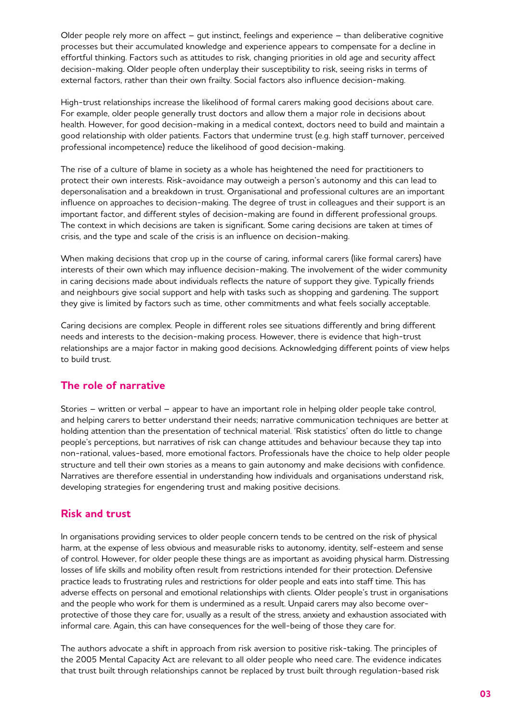Older people rely more on affect – gut instinct, feelings and experience – than deliberative cognitive processes but their accumulated knowledge and experience appears to compensate for a decline in effortful thinking. Factors such as attitudes to risk, changing priorities in old age and security affect decision-making. Older people often underplay their susceptibility to risk, seeing risks in terms of external factors, rather than their own frailty. Social factors also influence decision-making.

High-trust relationships increase the likelihood of formal carers making good decisions about care. For example, older people generally trust doctors and allow them a major role in decisions about health. However, for good decision-making in a medical context, doctors need to build and maintain a good relationship with older patients. Factors that undermine trust (e.g. high staff turnover, perceived professional incompetence) reduce the likelihood of good decision-making.

The rise of a culture of blame in society as a whole has heightened the need for practitioners to protect their own interests. Risk-avoidance may outweigh a person's autonomy and this can lead to depersonalisation and a breakdown in trust. Organisational and professional cultures are an important influence on approaches to decision-making. The degree of trust in colleagues and their support is an important factor, and different styles of decision-making are found in different professional groups. The context in which decisions are taken is significant. Some caring decisions are taken at times of crisis, and the type and scale of the crisis is an influence on decision-making.

When making decisions that crop up in the course of caring, informal carers (like formal carers) have interests of their own which may influence decision-making. The involvement of the wider community in caring decisions made about individuals reflects the nature of support they give. Typically friends and neighbours give social support and help with tasks such as shopping and gardening. The support they give is limited by factors such as time, other commitments and what feels socially acceptable.

Caring decisions are complex. People in different roles see situations differently and bring different needs and interests to the decision-making process. However, there is evidence that high-trust relationships are a major factor in making good decisions. Acknowledging different points of view helps to build trust.

## **The role of narrative**

Stories – written or verbal – appear to have an important role in helping older people take control, and helping carers to better understand their needs; narrative communication techniques are better at holding attention than the presentation of technical material. 'Risk statistics' often do little to change people's perceptions, but narratives of risk can change attitudes and behaviour because they tap into non-rational, values-based, more emotional factors. Professionals have the choice to help older people structure and tell their own stories as a means to gain autonomy and make decisions with confidence. Narratives are therefore essential in understanding how individuals and organisations understand risk, developing strategies for engendering trust and making positive decisions.

### **Risk and trust**

In organisations providing services to older people concern tends to be centred on the risk of physical harm, at the expense of less obvious and measurable risks to autonomy, identity, self-esteem and sense of control. However, for older people these things are as important as avoiding physical harm. Distressing losses of life skills and mobility often result from restrictions intended for their protection. Defensive practice leads to frustrating rules and restrictions for older people and eats into staff time. This has adverse effects on personal and emotional relationships with clients. Older people's trust in organisations and the people who work for them is undermined as a result. Unpaid carers may also become overprotective of those they care for, usually as a result of the stress, anxiety and exhaustion associated with informal care. Again, this can have consequences for the well-being of those they care for.

The authors advocate a shift in approach from risk aversion to positive risk-taking. The principles of the 2005 Mental Capacity Act are relevant to all older people who need care. The evidence indicates that trust built through relationships cannot be replaced by trust built through regulation-based risk